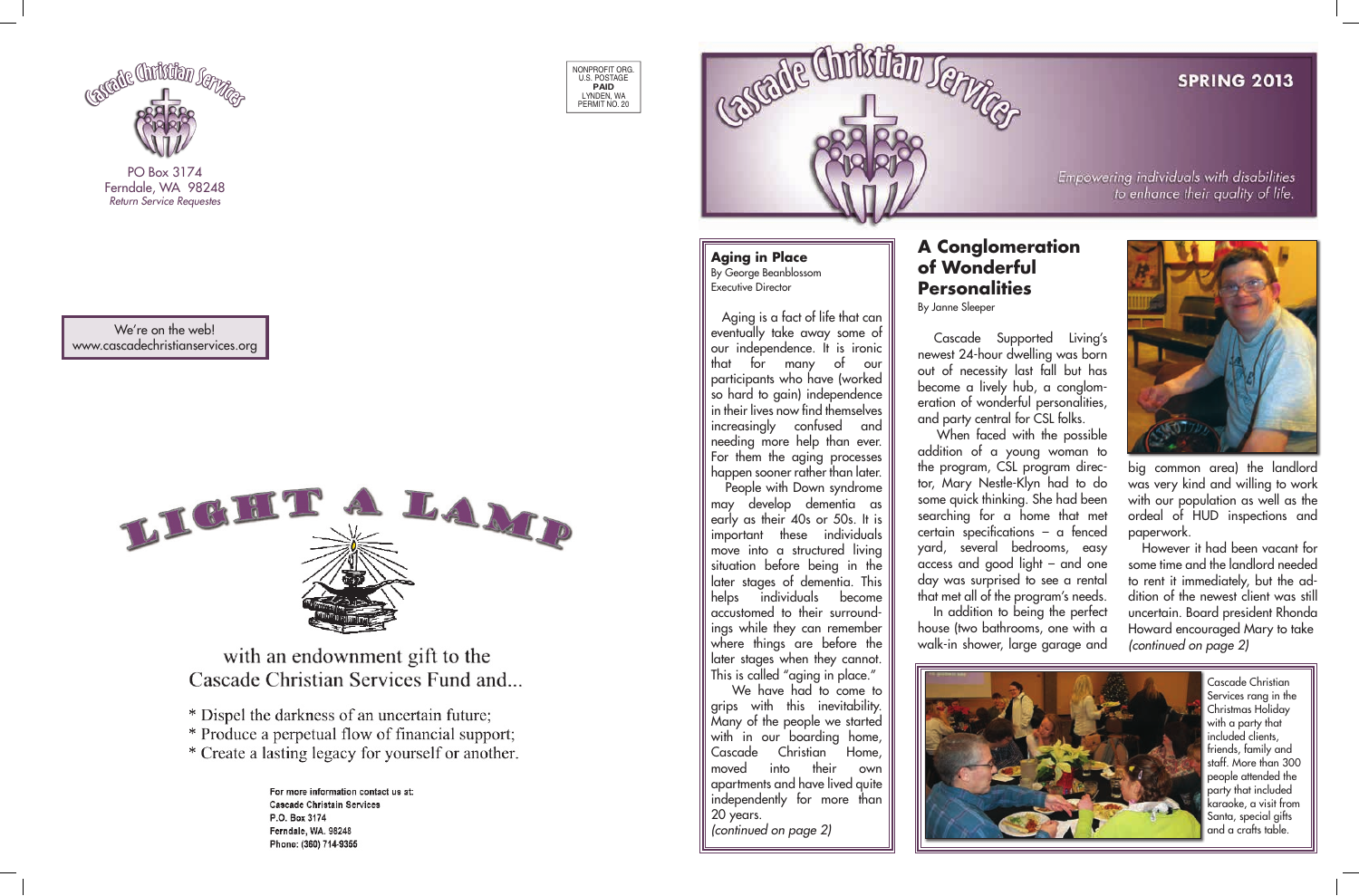

Cascade Christian Services rang in the Christmas Holiday with a party that included clients, friends, family and staff. More than 300 people attended the party that included karaoke, a visit from Santa, special gifts and a crafts table.

# **A Conglomeration of Wonderful Personalities**

By Janne Sleeper

 Cascade Supported Living's newest 24-hour dwelling was born out of necessity last fall but has become a lively hub, a conglom eration of wonderful personalities, and party central for CSL folks.

 When faced with the possible addition of a young woman to the program, CSL program direc tor, Mary Nestle-Klyn had to do some quick thinking. She had been searching for a home that met certain specifications – a fenced yard, several bedrooms, easy access and good light – and one day was surprised to see a rental that met all of the program's needs. In addition to being the perfect house (two bathrooms, one with a walk-in shower, large garage and



big common area) the landlord was very kind and willing to work with our population as well as the ordeal of HUD inspections and paperwork.

 However it had been vacant for some time and the landlord needed to rent it immediately, but the ad dition of the newest client was still uncertain. Board president Rhonda Howard encouraged Mary to take *(continued on page 2)*

**Aging in Place** By George Beanblossom Executive Director

 Aging is a fact of life that can eventually take away some of our independence. It is ironic that for many of our participants who have (worked so hard to gain) independence in their lives now find themselves increasingly confused and needing more help than ever. For them the aging processes happen sooner rather than later.

 People with Down syndrome may develop dementia as early as their 40s or 50s. It is important these individuals move into a structured living situation before being in the later stages of dementia. This helps individuals become accustomed to their surround ings while they can remember where things are before the later stages when they cannot. This is called "aging in place."

 We have had to come to grips with this inevitability. Many of the people we started with in our boarding home, Cascade Christian Home, moved into their own apartments and have lived quite independently for more than 20 years.

*(continued on page 2)*



# **SPRING 2013**

Empowering individuals with disabilities to enhance their quality of life.







PO Box 3174 Ferndale, WA 98248 *Return Service Requestes*

We're on the web! www.cascadechristianservices.org



with an endownment gift to the Cascade Christian Services Fund and...

- \* Dispel the darkness of an uncertain future;
- \* Produce a perpetual flow of financial support;
- \* Create a lasting legacy for yourself or another.

For more information contact us at: Cascade Christain Services P.O. Box 3174 Ferndale, WA, 98248 Phone: (360) 714-9355